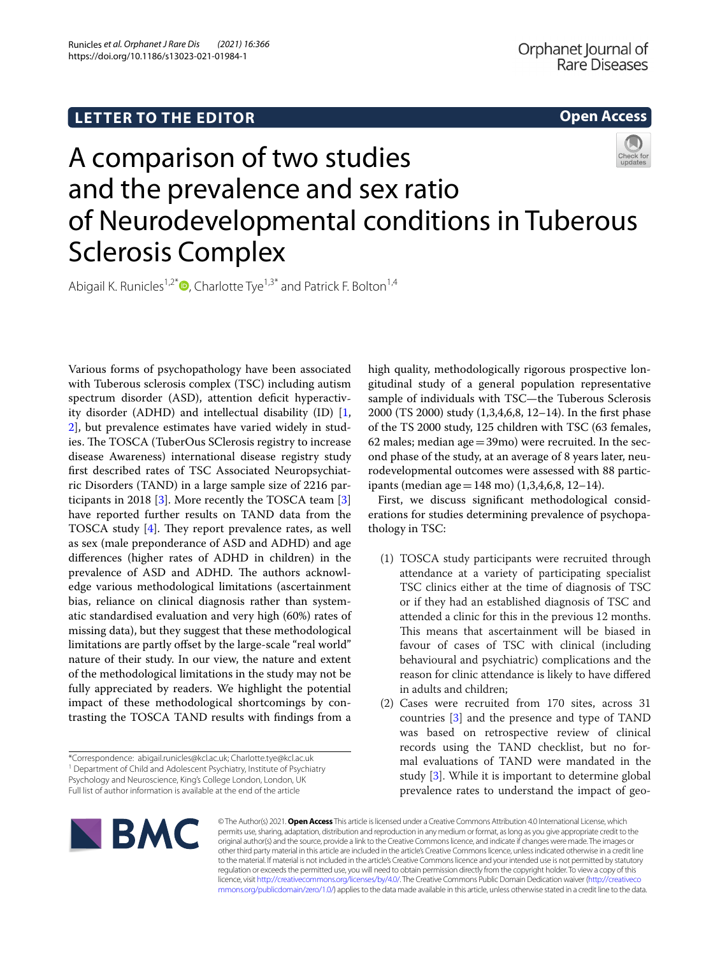## **Open Access**



# A comparison of two studies and the prevalence and sex ratio of Neurodevelopmental conditions in Tuberous Sclerosis Complex

Abigail K. Runicles<sup>1,2[\\*](http://orcid.org/0000-0002-6027-5503)</sup> $\bullet$ , Charlotte Tye<sup>1,3\*</sup> and Patrick F. Bolton<sup>1,4</sup>

Various forms of psychopathology have been associated with Tuberous sclerosis complex (TSC) including autism spectrum disorder (ASD), attention deficit hyperactivity disorder (ADHD) and intellectual disability (ID) [\[1](#page-3-0), [2\]](#page-3-1), but prevalence estimates have varied widely in studies. The TOSCA (TuberOus SClerosis registry to increase disease Awareness) international disease registry study frst described rates of TSC Associated Neuropsychiatric Disorders (TAND) in a large sample size of 2216 participants in 2018 [\[3\]](#page-3-2). More recently the TOSCA team [\[3](#page-3-2)] have reported further results on TAND data from the TOSCA study  $[4]$  $[4]$ . They report prevalence rates, as well as sex (male preponderance of ASD and ADHD) and age diferences (higher rates of ADHD in children) in the prevalence of ASD and ADHD. The authors acknowledge various methodological limitations (ascertainment bias, reliance on clinical diagnosis rather than systematic standardised evaluation and very high (60%) rates of missing data), but they suggest that these methodological limitations are partly offset by the large-scale "real world" nature of their study. In our view, the nature and extent of the methodological limitations in the study may not be fully appreciated by readers. We highlight the potential impact of these methodological shortcomings by contrasting the TOSCA TAND results with fndings from a

\*Correspondence: abigail.runicles@kcl.ac.uk; Charlotte.tye@kcl.ac.uk <sup>1</sup> Department of Child and Adolescent Psychiatry, Institute of Psychiatry Psychology and Neuroscience, King's College London, London, UK Full list of author information is available at the end of the article

high quality, methodologically rigorous prospective longitudinal study of a general population representative sample of individuals with TSC—the Tuberous Sclerosis 2000 (TS 2000) study (1,3,4,6,8, 12–14). In the frst phase of the TS 2000 study, 125 children with TSC (63 females, 62 males; median age  $=$  39mo) were recruited. In the second phase of the study, at an average of 8 years later, neurodevelopmental outcomes were assessed with 88 participants (median age = 148 mo)  $(1,3,4,6,8, 12-14)$ .

First, we discuss signifcant methodological considerations for studies determining prevalence of psychopathology in TSC:

- (1) TOSCA study participants were recruited through attendance at a variety of participating specialist TSC clinics either at the time of diagnosis of TSC or if they had an established diagnosis of TSC and attended a clinic for this in the previous 12 months. This means that ascertainment will be biased in favour of cases of TSC with clinical (including behavioural and psychiatric) complications and the reason for clinic attendance is likely to have difered in adults and children;
- (2) Cases were recruited from 170 sites, across 31 countries [[3\]](#page-3-2) and the presence and type of TAND was based on retrospective review of clinical records using the TAND checklist, but no formal evaluations of TAND were mandated in the study [\[3](#page-3-2)]. While it is important to determine global prevalence rates to understand the impact of geo-



© The Author(s) 2021. **Open Access** This article is licensed under a Creative Commons Attribution 4.0 International License, which permits use, sharing, adaptation, distribution and reproduction in any medium or format, as long as you give appropriate credit to the original author(s) and the source, provide a link to the Creative Commons licence, and indicate if changes were made. The images or other third party material in this article are included in the article's Creative Commons licence, unless indicated otherwise in a credit line to the material. If material is not included in the article's Creative Commons licence and your intended use is not permitted by statutory regulation or exceeds the permitted use, you will need to obtain permission directly from the copyright holder. To view a copy of this licence, visit [http://creativecommons.org/licenses/by/4.0/.](http://creativecommons.org/licenses/by/4.0/) The Creative Commons Public Domain Dedication waiver ([http://creativeco](http://creativecommons.org/publicdomain/zero/1.0/) [mmons.org/publicdomain/zero/1.0/](http://creativecommons.org/publicdomain/zero/1.0/)) applies to the data made available in this article, unless otherwise stated in a credit line to the data.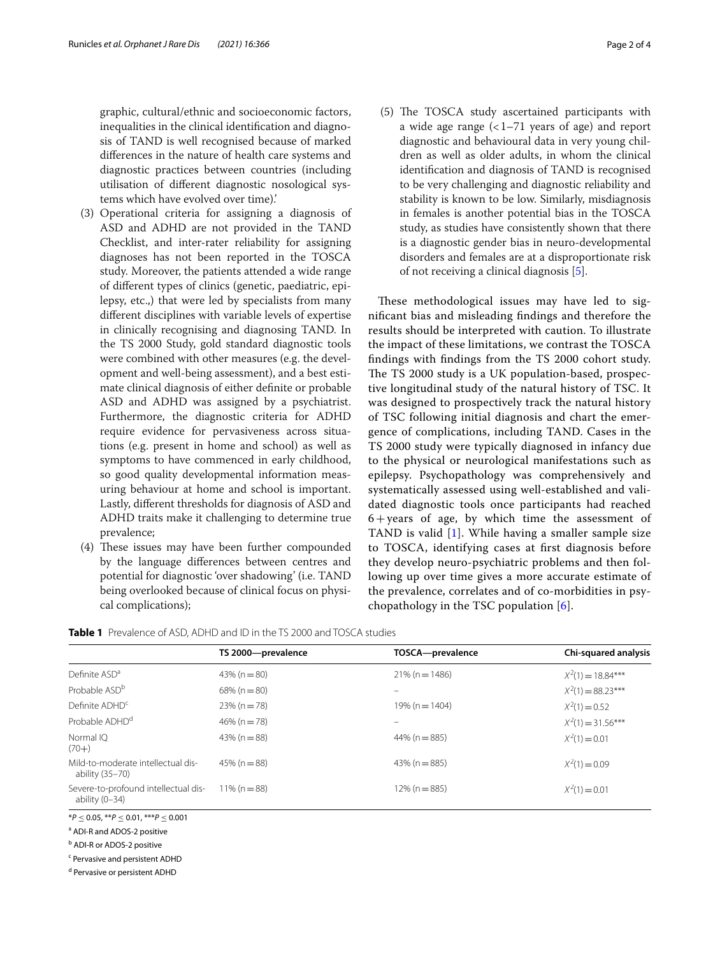graphic, cultural/ethnic and socioeconomic factors, inequalities in the clinical identifcation and diagnosis of TAND is well recognised because of marked diferences in the nature of health care systems and diagnostic practices between countries (including utilisation of diferent diagnostic nosological systems which have evolved over time).'

- (3) Operational criteria for assigning a diagnosis of ASD and ADHD are not provided in the TAND Checklist, and inter-rater reliability for assigning diagnoses has not been reported in the TOSCA study. Moreover, the patients attended a wide range of diferent types of clinics (genetic, paediatric, epilepsy, etc.,) that were led by specialists from many diferent disciplines with variable levels of expertise in clinically recognising and diagnosing TAND. In the TS 2000 Study, gold standard diagnostic tools were combined with other measures (e.g. the development and well-being assessment), and a best estimate clinical diagnosis of either defnite or probable ASD and ADHD was assigned by a psychiatrist. Furthermore, the diagnostic criteria for ADHD require evidence for pervasiveness across situations (e.g. present in home and school) as well as symptoms to have commenced in early childhood, so good quality developmental information measuring behaviour at home and school is important. Lastly, diferent thresholds for diagnosis of ASD and ADHD traits make it challenging to determine true prevalence;
- (4) These issues may have been further compounded by the language diferences between centres and potential for diagnostic 'over shadowing' (i.e. TAND being overlooked because of clinical focus on physical complications);

(5) The TOSCA study ascertained participants with a wide age range  $\left($  < 1–71 years of age) and report diagnostic and behavioural data in very young children as well as older adults, in whom the clinical identifcation and diagnosis of TAND is recognised to be very challenging and diagnostic reliability and stability is known to be low. Similarly, misdiagnosis in females is another potential bias in the TOSCA study, as studies have consistently shown that there is a diagnostic gender bias in neuro-developmental disorders and females are at a disproportionate risk of not receiving a clinical diagnosis [\[5\]](#page-3-4).

These methodological issues may have led to signifcant bias and misleading fndings and therefore the results should be interpreted with caution. To illustrate the impact of these limitations, we contrast the TOSCA fndings with fndings from the TS 2000 cohort study. The TS 2000 study is a UK population-based, prospective longitudinal study of the natural history of TSC. It was designed to prospectively track the natural history of TSC following initial diagnosis and chart the emergence of complications, including TAND. Cases in the TS 2000 study were typically diagnosed in infancy due to the physical or neurological manifestations such as epilepsy. Psychopathology was comprehensively and systematically assessed using well-established and validated diagnostic tools once participants had reached 6+years of age, by which time the assessment of TAND is valid [\[1](#page-3-0)]. While having a smaller sample size to TOSCA, identifying cases at frst diagnosis before they develop neuro-psychiatric problems and then following up over time gives a more accurate estimate of the prevalence, correlates and of co-morbidities in psychopathology in the TSC population [[6](#page-3-5)].

<span id="page-1-0"></span>

|  | <b>Table 1</b> Prevalence of ASD, ADHD and ID in the TS 2000 and TOSCA studies |  |  |  |  |  |  |  |  |
|--|--------------------------------------------------------------------------------|--|--|--|--|--|--|--|--|
|--|--------------------------------------------------------------------------------|--|--|--|--|--|--|--|--|

|                                                          | TS 2000-prevalence | TOSCA-prevalence  | Chi-squared analysis |
|----------------------------------------------------------|--------------------|-------------------|----------------------|
| Definite ASD <sup>a</sup>                                | $43\%$ (n = 80)    | $21\% (n = 1486)$ | $X^2(1) = 18.84***$  |
| Probable ASD <sup>b</sup>                                | $68\%$ (n = 80)    |                   | $X^2(1) = 88.23***$  |
| Definite ADHD <sup>c</sup>                               | $23\% (n = 78)$    | $19\%$ (n = 1404) | $X^2(1) = 0.52$      |
| Probable ADHD <sup>d</sup>                               | $46\%$ (n = 78)    |                   | $X^2(1) = 31.56***$  |
| Normal IO<br>$(70+)$                                     | $43\%$ (n = 88)    | $44\%$ (n = 885)  | $X^2(1) = 0.01$      |
| Mild-to-moderate intellectual dis-<br>ability (35-70)    | $45\%$ (n = 88)    | $43\%$ (n = 885)  | $X^2(1) = 0.09$      |
| Severe-to-profound intellectual dis-<br>ability $(0-34)$ | $11\%$ (n = 88)    | $12\%$ (n = 885)  | $X^2(1) = 0.01$      |

\**P* ≤ 0.05, \*\**P* ≤ 0.01, \*\*\**P* ≤ 0.001

<sup>a</sup> ADI-R and ADOS-2 positive

**b** ADI-R or ADOS-2 positive

<sup>c</sup> Pervasive and persistent ADHD

<sup>d</sup> Pervasive or persistent ADHD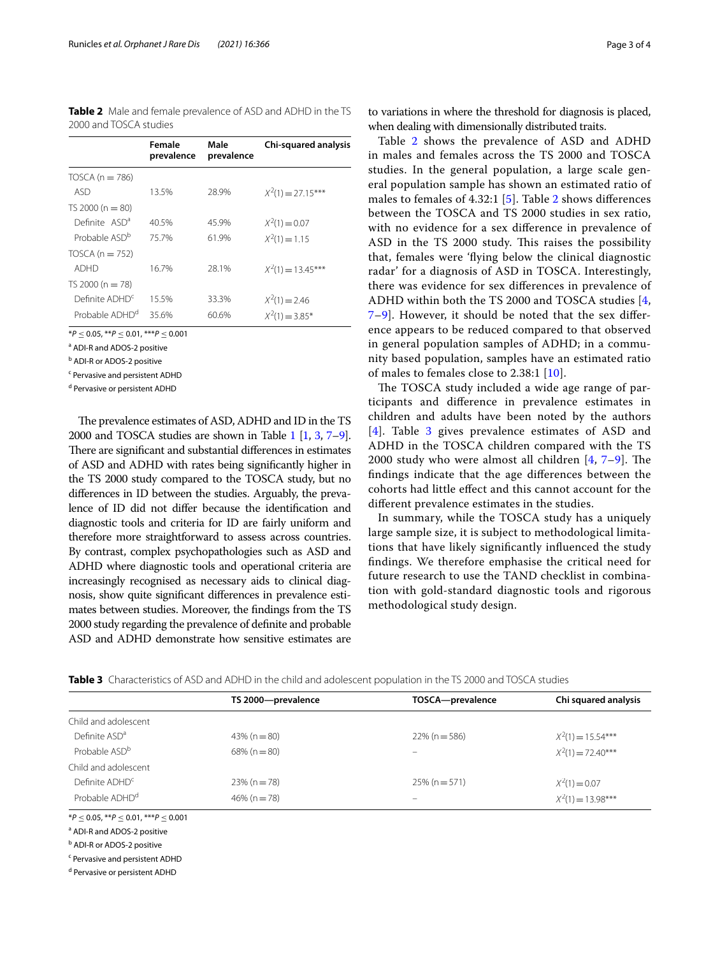<span id="page-2-0"></span>**Table 2** Male and female prevalence of ASD and ADHD in the TS 2000 and TOSCA studies

|                            | Female<br>prevalence | Male<br>prevalence | Chi-squared analysis |
|----------------------------|----------------------|--------------------|----------------------|
| TOSCA ( $n = 786$ )        |                      |                    |                      |
| ASD                        | 13.5%                | 28.9%              | $X^2(1) = 27.15***$  |
| TS 2000 ( $n = 80$ )       |                      |                    |                      |
| Definite ASD <sup>a</sup>  | 40.5%                | 45.9%              | $X^2(1) = 0.07$      |
| Probable ASD <sup>b</sup>  | 75.7%                | 61.9%              | $X^2(1) = 1.15$      |
| TOSCA ( $n = 752$ )        |                      |                    |                      |
| ADHD                       | 16.7%                | 28.1%              | $X^2(1) = 13.45***$  |
| TS 2000 ( $n = 78$ )       |                      |                    |                      |
| Definite ADHD <sup>c</sup> | 15.5%                | 33.3%              | $X^2(1) = 2.46$      |
| Probable ADHD <sup>d</sup> | 35.6%                | 60.6%              | $X^2(1) = 3.85^*$    |

\**P* ≤ 0.05, \*\**P* ≤ 0.01, \*\*\**P* ≤ 0.001

<sup>a</sup> ADI-R and ADOS-2 positive

<sup>b</sup> ADI-R or ADOS-2 positive

<sup>c</sup> Pervasive and persistent ADHD

<sup>d</sup> Pervasive or persistent ADHD

The prevalence estimates of ASD, ADHD and ID in the TS 2000 and TOSCA studies are shown in Table [1](#page-1-0) [[1](#page-3-0), [3](#page-3-2), [7–](#page-3-6)[9](#page-3-7)]. There are significant and substantial differences in estimates of ASD and ADHD with rates being signifcantly higher in the TS 2000 study compared to the TOSCA study, but no diferences in ID between the studies. Arguably, the prevalence of ID did not difer because the identifcation and diagnostic tools and criteria for ID are fairly uniform and therefore more straightforward to assess across countries. By contrast, complex psychopathologies such as ASD and ADHD where diagnostic tools and operational criteria are increasingly recognised as necessary aids to clinical diagnosis, show quite signifcant diferences in prevalence estimates between studies. Moreover, the fndings from the TS 2000 study regarding the prevalence of defnite and probable ASD and ADHD demonstrate how sensitive estimates are

to variations in where the threshold for diagnosis is placed, when dealing with dimensionally distributed traits.

Table [2](#page-2-0) shows the prevalence of ASD and ADHD in males and females across the TS 2000 and TOSCA studies. In the general population, a large scale general population sample has shown an estimated ratio of males to females of 4.32:1 [[5\]](#page-3-4). Table [2](#page-2-0) shows diferences between the TOSCA and TS 2000 studies in sex ratio, with no evidence for a sex diference in prevalence of ASD in the TS 2000 study. This raises the possibility that, females were 'fying below the clinical diagnostic radar' for a diagnosis of ASD in TOSCA. Interestingly, there was evidence for sex diferences in prevalence of ADHD within both the TS 2000 and TOSCA studies [\[4](#page-3-3), [7–](#page-3-6)[9\]](#page-3-7). However, it should be noted that the sex diference appears to be reduced compared to that observed in general population samples of ADHD; in a community based population, samples have an estimated ratio of males to females close to 2.38:1 [[10](#page-3-8)].

The TOSCA study included a wide age range of participants and diference in prevalence estimates in children and adults have been noted by the authors [[4](#page-3-3)]. Table [3](#page-2-1) gives prevalence estimates of ASD and ADHD in the TOSCA children compared with the TS 2000 study who were almost all children  $[4, 7-9]$  $[4, 7-9]$  $[4, 7-9]$  $[4, 7-9]$ . The fndings indicate that the age diferences between the cohorts had little efect and this cannot account for the diferent prevalence estimates in the studies.

In summary, while the TOSCA study has a uniquely large sample size, it is subject to methodological limitations that have likely signifcantly infuenced the study fndings. We therefore emphasise the critical need for future research to use the TAND checklist in combination with gold-standard diagnostic tools and rigorous methodological study design.

<span id="page-2-1"></span>

|                            | TS 2000-prevalence | TOSCA-prevalence           | Chi squared analysis |
|----------------------------|--------------------|----------------------------|----------------------|
| Child and adolescent       |                    |                            |                      |
| Definite ASD <sup>a</sup>  | $43\%$ (n = 80)    | $22\%$ (n = 586)           | $X^2(1) = 15.54***$  |
| Probable ASD <sup>b</sup>  | $68\%$ (n = 80)    | $\overline{\phantom{0}}$   | $X^2(1) = 72.40***$  |
| Child and adolescent       |                    |                            |                      |
| Definite ADHD <sup>c</sup> | $23\% (n = 78)$    | $25\%$ (n = 571)           | $X^2(1) = 0.07$      |
| Probable ADHD <sup>d</sup> | $46\%$ (n = 78)    | $\qquad \qquad \  \  \, -$ | $X^2(1) = 13.98***$  |

\**P* ≤ 0.05, \*\**P* ≤ 0.01, \*\*\**P* ≤ 0.001

<sup>a</sup> ADI-R and ADOS-2 positive

**b** ADI-R or ADOS-2 positive

<sup>c</sup> Pervasive and persistent ADHD

<sup>d</sup> Pervasive or persistent ADHD